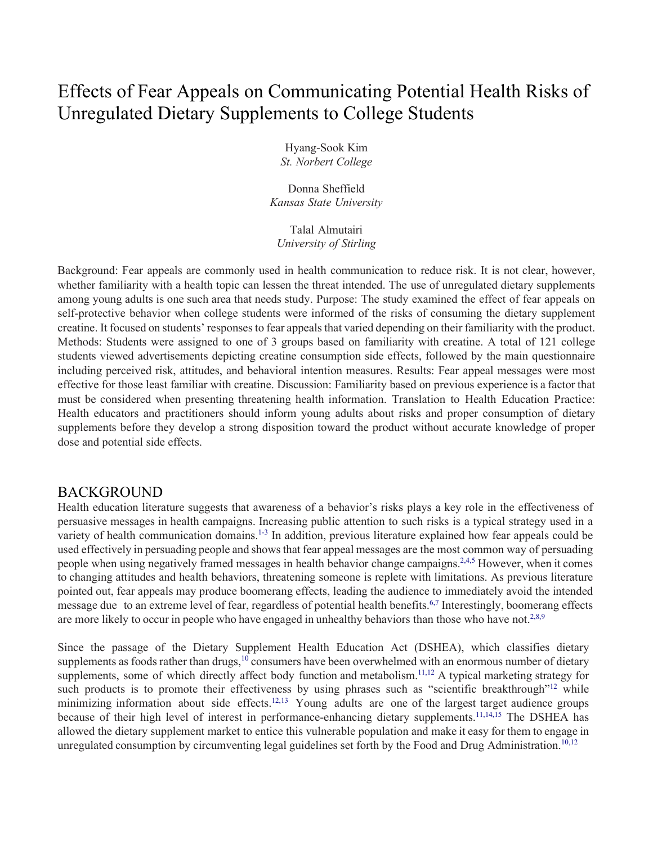# Effects of Fear Appeals on Communicating Potential Health Risks of Unregulated Dietary Supplements to College Students

 *St. Norbert College*  Hyang-Sook Kim

 *Kansas State University*  Donna Sheffield

 *University of Stirling*  Talal Almutairi

 Background: Fear appeals are commonly used in health communication to reduce risk. It is not clear, however, whether familiarity with a health topic can lessen the threat intended. The use of unregulated dietary supplements among young adults is one such area that needs study. Purpose: The study examined the effect of fear appeals on self-protective behavior when college students were informed of the risks of consuming the dietary supplement creatine. It focused on students' responses to fear appeals that varied depending on their familiarity with the product. effective for those least familiar with creatine. Discussion: Familiarity based on previous experience is a factor that must be considered when presenting threatening health information. Translation to Health Education Practice: Health educators and practitioners should inform young adults about risks and proper consumption of dietary Methods: Students were assigned to one of 3 groups based on familiarity with creatine. A total of 121 college students viewed advertisements depicting creatine consumption side effects, followed by the main questionnaire including perceived risk, attitudes, and behavioral intention measures. Results: Fear appeal messages were most supplements before they develop a strong disposition toward the product without accurate knowledge of proper dose and potential side effects.

## BACKGROUND

 Health education literature suggests that awareness of a behavior's risks plays a key role in the effectiveness of persuasive messages in health campaigns. Increasing public attention to such risks is a typical strategy used in a variety of health communication domains.<sup>1-3</sup> In addition, previous literature explained how fear appeals could be used effectively in persuading people and shows that fear appeal messages are the most common way of persuading people when using negatively framed messages in health behavior change campaigns.<sup>2,4,5</sup> However, when it comes to changing attitudes and health behaviors, threatening someone is replete with limitations. As previous literature message due to an extreme level of fear, regardless of potential health benefits.<sup>6,7</sup> Interestingly, boomerang effects are more likely to occur in people who have engaged in unhealthy behaviors than those who have not.<sup>2,8,9</sup> pointed out, fear appeals may produce boomerang effects, leading the audience to immediately avoid the intended

supplements as foods rather than drugs, $^{10}$  consumers have been overwhelmed with an enormous number of dietary supplements, some of which directly affect body function and metabolism.<sup>11,12</sup> A typical marketing strategy for minimizing information about side effects.<sup>12,13</sup> Young adults are one of the largest target audience groups allowed the dietary supplement market to entice this vulnerable population and make it easy for them to engage in unregulated consumption by circumventing legal guidelines set forth by the Food and Drug Administration.<sup>10,12</sup> Since the passage of the Dietary Supplement Health Education Act (DSHEA), which classifies dietary such products is to promote their effectiveness by using phrases such as "scientific breakthrough"<sup>12</sup> while because of their high level of interest in performance-enhancing dietary supplements.<sup>11,14,15</sup> The DSHEA has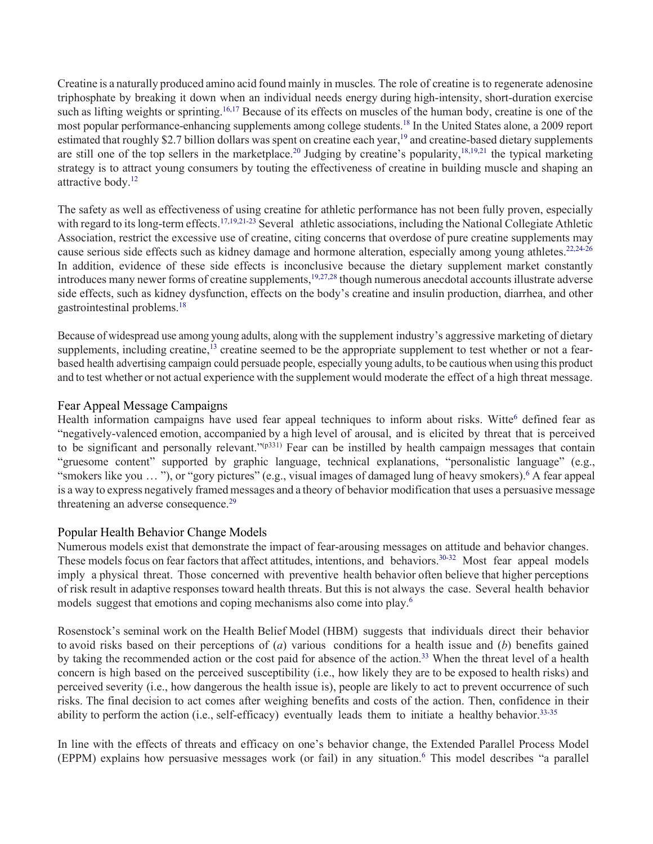Creatine is a naturally produced amino acid found mainly in muscles. The role of creatine is to regenerate adenosine triphosphate by breaking it down when an individual needs energy during high-intensity, short-duration exercise most popular performance-enhancing supplements among college [students.](https://students.18)<sup>18</sup> In the United States alone, a 2009 report estimated that roughly \$2.7 billion dollars was spent on creatine each year,<sup>19</sup> and creatine-based dietary supplements are still one of the top sellers in the [marketplace.](https://marketplace.20)<sup>20</sup> Judging by creatine's popularity,  $18,19,21$  the typical marketing strategy is to attract young consumers by touting the effectiveness of creatine in building muscle and shaping an such as lifting weights or sprinting.<sup>16,17</sup> Because of its effects on muscles of the human body, creatine is one of the attractive body.<sup>12</sup>

 The safety as well as effectiveness of using creatine for athletic performance has not been fully proven, especially with regard to its long-term effects.<sup>17,19,21-23</sup> Several athletic associations, including the National Collegiate Athletic In addition, evidence of these side effects is inconclusive because the dietary supplement market constantly Association, restrict the excessive use of creatine, citing concerns that overdose of pure creatine supplements may cause serious side effects such as kidney damage and hormone alteration, especially among young athletes.<sup>22,24-26</sup> introduces many newer forms of creatine supplements,<sup>19,27,28</sup> though numerous anecdotal accounts illustrate adverse side effects, such as kidney dysfunction, effects on the body's creatine and insulin production, diarrhea, and other gastrointestinal [problems.](https://problems.18)[18](#page-8-7) 

 Because of widespread use among young adults, along with the supplement industry's aggressive marketing of dietary supplements, including creatine,<sup>13</sup> creatine seemed to be the appropriate supplement to test whether or not a fear- based health advertising campaign could persuade people, especially young adults, to be cautious when using this product and to test whether or not actual experience with the supplement would moderate the effect of a high threat message.

### Fear Appeal Message Campaigns

Health information campaigns have used fear appeal techniques to inform about risks. Witte<sup>6</sup> defined fear as "negatively-valenced emotion, accompanied by a high level of arousal, and is elicited by threat that is perceived to be significant and personally relevant."<sup>(p331)</sup> Fear can be instilled by health campaign messages that contain "smokers like you ... "), or "gory pictures" (e.g., visual images of damaged lung of heavy smokers).<sup>6</sup> A fear appeal is a way to express negatively framed messages and a theory of behavior modification that uses a persuasive message "gruesome content" supported by graphic language, technical explanations, "personalistic language" (e.g., threatening an adverse [consequence.](https://consequence.29)<sup>29</sup>

### Popular Health Behavior Change Models

 Numerous models exist that demonstrate the impact of fear-arousing messages on attitude and behavior changes. These models focus on fear factors that affect attitudes, intentions, and behaviors.<sup>30-32</sup> Most fear appeal models imply a physical threat. Those concerned with preventive health behavior often believe that higher perceptions of risk result in adaptive responses toward health threats. But this is not always the case. Several health behavior models suggest that emotions and coping mechanisms also come into play.<sup>6</sup>

 Rosenstock's seminal work on the Health Belief Model (HBM) suggests that individuals direct their behavior to avoid risks based on their perceptions of (*a*) various conditions for a health issue and (*b*) benefits gained by taking the recommended [action](https://action.33) or the cost paid for absence of the action.<sup>33</sup> When the threat level of a health concern is high based on the perceived susceptibility (i.e., how likely they are to be exposed to health risks) and perceived severity (i.e., how dangerous the health issue is), people are likely to act to prevent occurrence of such risks. The final decision to act comes after weighing benefits and costs of the action. Then, confidence in their ability to perform the action (i.e., self-efficacy) eventually leads them to initiate a healthy behavior.<sup>33-35</sup>

 In line with the effects of threats and efficacy on one's behavior change, the Extended Parallel Process Model (EPPM) explains how persuasive messages work (or fail) in any situation.<sup>6</sup> This model describes "a parallel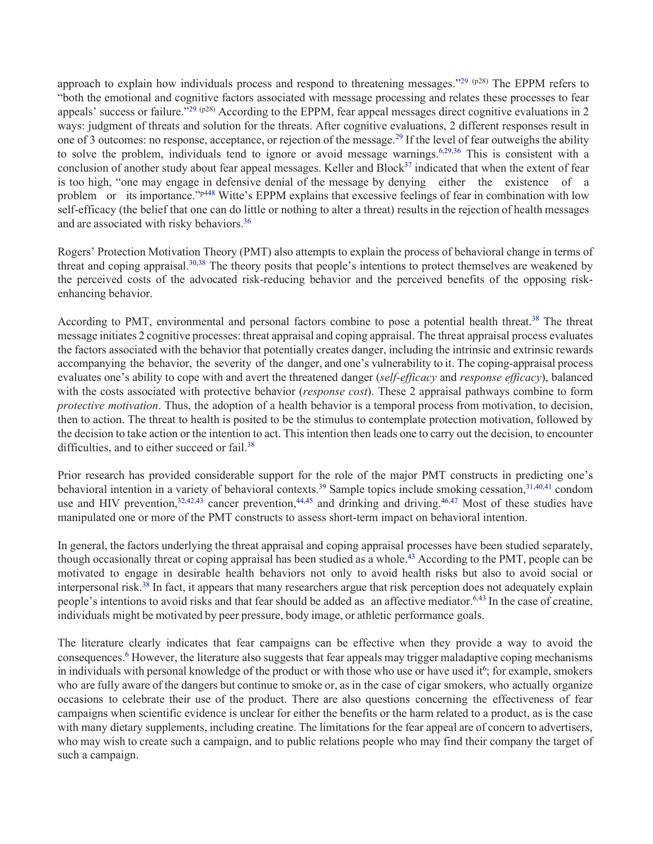approach to explain how individuals process and respond to threatening messages."<sup>29 (p28)</sup> The EPPM refers to "both the emotional and cognitive factors associated with message processing and relates these processes to fear ways: judgment of threats and solution for the threats. After cognitive evaluations, 2 different responses result in one of 3 outcomes: no response, acceptance, or rejection of the [message](https://message.29).<sup>29</sup> If the level of fear outweighs the ability conclusion of another study about fear appeal messages. Keller and Block<sup>37</sup> indicated that when the extent of fear is too high, "one may engage in defensive denial of the message by denying either the existence of a problem or its importance."<sup>p448</sup> Witte's EPPM explains that excessive feelings of fear in combination with low self-efficacy (the belief that one can do little or nothing to alter a threat) results in the rejection of health messages and are associated with risky [behaviors](https://behaviors.36).<sup>36</sup> appeals' success or failure."<sup>29 (p28)</sup> According to the EPPM, fear appeal messages direct cognitive evaluations in 2 to solve the problem, individuals tend to ignore or avoid message warnings.<sup>6,29,36</sup> This is consistent with a

threat and coping appraisal.<sup>30,38</sup> The theory posits that people's intentions to protect themselves are weakened by Rogers' Protection Motivation Theory (PMT) also attempts to explain the process of behavioral change in terms of the perceived costs of the advocated risk-reducing behavior and the perceived benefits of the opposing riskenhancing behavior.

According to PMT, environmental and personal factors combine to pose a potential health [threat.](https://threat.38)<sup>38</sup> The threat message initiates 2 cognitive processes: threat appraisal and coping appraisal. The threat appraisal process evaluates the factors associated with the behavior that potentially creates danger, including the intrinsic and extrinsic rewards accompanying the behavior, the severity of the danger, and one's vulnerability to it. The coping-appraisal process evaluates one's ability to cope with and avert the threatened danger (*self-efficacy* and *response efficacy*), balanced *protective motivation*. Thus, the adoption of a health behavior is a temporal process from motivation, to decision, then to action. The threat to health is posited to be the stimulus to contemplate protection motivation, followed by with the costs associated with protective behavior (*response cost*). These 2 appraisal pathways combine to form the decision to take action or the intention to act. This intention then leads one to carry out the decision, to encounter difficulties, and to either succeed or fail.<sup>38</sup>

 Prior research has provided considerable support for the role of the major PMT constructs in predicting one's behavioral intention in a variety of behavioral [contexts.](https://contexts.39)<sup>39</sup> Sample topics include smoking cessation,<sup>31,40,41</sup> condom use and HIV prevention,  $32,42,43$  cancer prevention,  $44,45$  and drinking and driving.  $46,47$  Most of these studies have manipulated one or more of the PMT constructs to assess short-term impact on behavioral intention.

 In general, the factors underlying the threat appraisal and coping appraisal processes have been studied separately, motivated to engage in desirable health behaviors not only to avoid health risks but also to avoid social or interpersonal risk.<sup>38</sup> In fact, it appears that many researchers argue that risk perception does not adequately explain people's intentions to avoid risks and that fear should be added as an affective mediator.<sup>6,43</sup> In the case of creatine, individuals might be motivated by peer pressure, body image, or athletic performance goals. though occasionally threat or coping appraisal has been studied as a [whole](https://whole.43).<sup>43</sup> According to the PMT, people can be

 The literature clearly indicates that fear campaigns can be effective when they provide a way to avoid the consequences.<sup>6</sup> However, the literature also suggests that fear appeals may trigger maladaptive coping mechanisms in individuals with personal knowledge of the product or with those who use or have used it<sup>6</sup>; for example, smokers who are fully aware of the dangers but continue to smoke or, as in the case of cigar smokers, who actually organize occasions to celebrate their use of the product. There are also questions concerning the effectiveness of fear campaigns when scientific evidence is unclear for either the benefits or the harm related to a product, as is the case with many dietary supplements, including creatine. The limitations for the fear appeal are of concern to advertisers, who may wish to create such a campaign, and to public relations people who may find their company the target of such a campaign.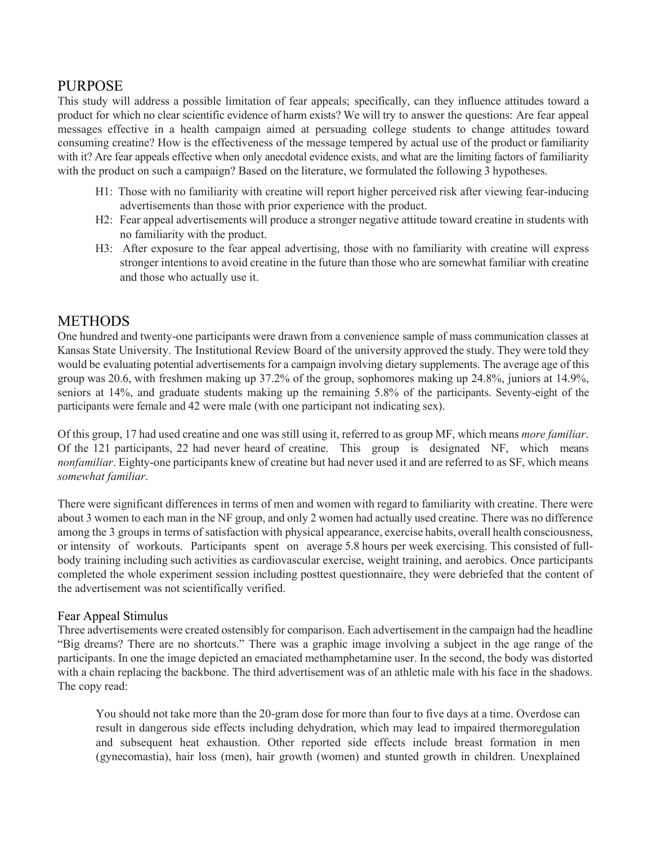## PURPOSE

 This study will address a possible limitation of fear appeals; specifically, can they influence attitudes toward a product for which no clear scientific evidence of harm exists? We will try to answer the questions: Are fear appeal consuming creatine? How is the effectiveness of the message tempered by actual use of the product or familiarity with it? Are fear appeals effective when only anecdotal evidence exists, and what are the limiting factors of familiarity with the product on such a campaign? Based on the literature, we formulated the following 3 hypotheses. messages effective in a health campaign aimed at persuading college students to change attitudes toward

- advertisements than those with prior experience with the product. H1: Those with no familiarity with creatine will report higher perceived risk after viewing fear-inducing
- H2: Fear appeal advertisements will produce a stronger negative attitude toward creatine in students with no familiarity with the product.
- H3: After exposure to the fear appeal advertising, those with no familiarity with creatine will express stronger intentions to avoid creatine in the future than those who are somewhat familiar with creatine and those who actually use it.

# METHODS

 One hundred and twenty-one participants were drawn from a convenience sample of mass communication classes at Kansas State University. The Institutional Review Board of the university approved the study. They were told they would be evaluating potential advertisements for a campaign involving dietary supplements. The average age of this group was 20.6, with freshmen making up 37.2% of the group, sophomores making up 24.8%, juniors at 14.9%, seniors at 14%, and graduate students making up the remaining 5.8% of the participants. Seventy-eight of the participants were female and 42 were male (with one participant not indicating sex).

 Of the 121 participants, 22 had never heard of creatine. This group is designated NF, which means Of this group, 17 had used creatine and one was still using it, referred to as group MF, which means *more familiar*. *nonfamiliar*. Eighty-one participants knew of creatine but had never used it and are referred to as SF, which means *somewhat familiar*.

 There were significant differences in terms of men and women with regard to familiarity with creatine. There were about 3 women to each man in the NF group, and only 2 women had actually used creatine. There was no difference among the 3 groups in terms of satisfaction with physical appearance, exercise habits, overall health consciousness, or intensity of workouts. Participants spent on average 5.8 hours per week exercising. This consisted of full- body training including such activities as cardiovascular exercise, weight training, and aerobics. Once participants completed the whole experiment session including posttest questionnaire, they were debriefed that the content of the advertisement was not scientifically verified.

## Fear Appeal Stimulus

 Three advertisements were created ostensibly for comparison. Each advertisement in the campaign had the headline "Big dreams? There are no shortcuts." There was a graphic image involving a subject in the age range of the participants. In one the image depicted an emaciated methamphetamine user. In the second, the body was distorted with a chain replacing the backbone. The third advertisement was of an athletic male with his face in the shadows. The copy read:

 You should not take more than the 20-gram dose for more than four to five days at a time. Overdose can result in dangerous side effects including dehydration, which may lead to impaired thermoregulation and subsequent heat exhaustion. Other reported side effects include breast formation in men (gynecomastia), hair loss (men), hair growth (women) and stunted growth in children. Unexplained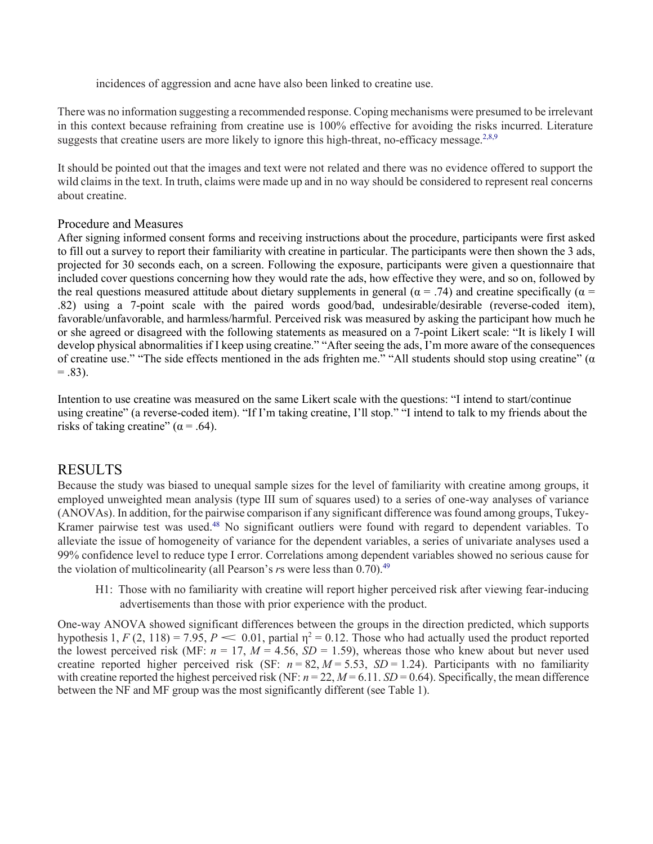incidences of aggression and acne have also been linked to creatine use.

There was no information suggesting a recommended response. Coping mechanisms were presumed to be irrelevant in this context because refraining from creatine use is 100% effective for avoiding the risks incurred. Literature suggests that creatine users are more likely to ignore this high-threat, no-efficacy message. $2,8,9$ 

 It should be pointed out that the images and text were not related and there was no evidence offered to support the wild claims in the text. In truth, claims were made up and in no way should be considered to represent real concerns about creatine.

## Procedure and Measures

 After signing informed consent forms and receiving instructions about the procedure, participants were first asked the real questions measured attitude about dietary supplements in general ( $\alpha$  = .74) and creatine specifically ( $\alpha$  = favorable/unfavorable, and harmless/harmful. Perceived risk was measured by asking the participant how much he or she agreed or disagreed with the following statements as measured on a 7-point Likert scale: "It is likely I will of creatine use." "The side effects mentioned in the ads frighten me." "All students should stop using creatine" (α  $= .83$ ). to fill out a survey to report their familiarity with creatine in particular. The participants were then shown the 3 ads, projected for 30 seconds each, on a screen. Following the exposure, participants were given a questionnaire that included cover questions concerning how they would rate the ads, how effective they were, and so on, followed by .82) using a 7-point scale with the paired words good/bad, undesirable/desirable (reverse-coded item), develop physical abnormalities if I keep using creatine." "After seeing the ads, I'm more aware of the consequences

 Intention to use creatine was measured on the same Likert scale with the questions: "I intend to start/continue using creatine" (a reverse-coded item). "If I'm taking creatine, I'll stop." "I intend to talk to my friends about the risks of taking creatine" ( $\alpha$  = .64).

# RESULTS

 employed unweighted mean analysis (type III sum of squares used) to a series of one-way analyses of variance (ANOVAs). In addition, for the pairwise comparison if any significant difference was found among groups, Tukey-Kramer pairwise test was used.<sup>48</sup> No significant outliers were found with regard to dependent variables. To 99% confidence level to reduce type I error. Correlations among dependent variables showed no serious cause for the violation of multicolinearity (all Pearson's *r*s were less than [0.70\).](https://0.70).49)<sup>49</sup> Because the study was biased to unequal sample sizes for the level of familiarity with creatine among groups, it alleviate the issue of homogeneity of variance for the dependent variables, a series of univariate analyses used a

 advertisements than those with prior experience with the product. H1: Those with no familiarity with creatine will report higher perceived risk after viewing fear-inducing

One-way ANOVA showed significant differences between the groups in the direction predicted, which supports hypothesis 1, *F* (2, 118) = 7.95, *P* < 0.01, partial  $\eta^2$  = 0.12. Those who had actually used the product repo the lowest perceived risk (MF:  $n = 17$ ,  $M = 4.56$ ,  $SD = 1.59$ ), whereas those who knew about but never used creatine reported higher perceived risk (SF:  $n = 82$ ,  $M = 5.53$ ,  $SD = 1.24$ ). Participants with no familiarity with creatine reported the highest perceived risk (NF:  $n = 22$ ,  $M = 6.11$ .  $SD = 0.64$ ). Specifically, the mean difference One-way ANOVA showed significant differences between the groups in the direction predicted, which supports between the NF and MF group was the most significantly different (see Table 1).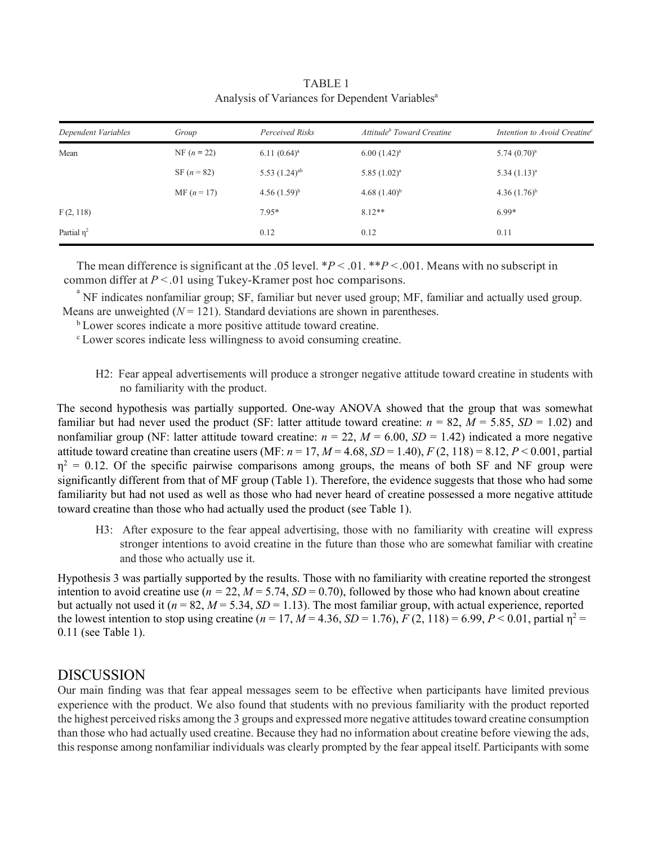<span id="page-5-0"></span>

| Dependent Variables | Group         | Perceived Risks             | Attitude <sup>b</sup> Toward Creatine | Intention to Avoid Creatine <sup>c</sup> |
|---------------------|---------------|-----------------------------|---------------------------------------|------------------------------------------|
| Mean                | NF $(n = 22)$ | $6.11(0.64)^a$              | $6.00(1.42)^a$                        | $5.74(0.70)^a$                           |
|                     | SF $(n = 82)$ | 5.53 $(1.24)$ <sup>ab</sup> | $5.85(1.02)^a$                        | $5.34(1.13)^a$                           |
|                     | $MF (n = 17)$ | $4.56(1.59)^{b}$            | 4.68 $(1.40)^{b}$                     | 4.36 $(1.76)^{b}$                        |
| F(2, 118)           |               | $7.95*$                     | $8.12**$                              | $6.99*$                                  |
| Partial $\eta^2$    |               | 0.12                        | 0.12                                  | 0.11                                     |

Analysis of Variances for Dependent Variables<sup>a</sup> TABLE 1

 The mean difference is significant at the .05 level. \**P* < .01. \*\**P* < .001. Means with no subscript in common differ at  $P < 0.01$  using Tukey-Kramer post hoc comparisons.

 NF indicates nonfamiliar group; SF, familiar but never used group; MF, familiar and actually used group. Means are unweighted  $(N = 121)$ . Standard deviations are shown in parentheses.

- <sup>b</sup> Lower scores indicate a more positive attitude toward creatine.
- $\rm{b}$  Lower scores indicate a more positive attitude toward creatine.<br><sup>c</sup> Lower scores indicate less willingness to avoid consuming creatine.
	- H2: Fear appeal advertisements will produce a stronger negative attitude toward creatine in students with no familiarity with the product.

familiar but had never used the product (SF: latter attitude toward creatine:  $n = 82$ ,  $M = 5.85$ ,  $SD = 1.02$ ) and nonfamiliar group (NF: latter attitude toward creatine: *n* = 22, *M* = 6.00, *SD* = 1.42) indicated a more negative attitude toward creatine than creatine users (MF:  $n = 17$ ,  $M = 4.68$ ,  $SD = 1.40$ ),  $F (2, 118) = 8.12$ ,  $P < 0.001$ , partial  $\eta^2 = 0.12$ . Of the specific pairwise comparisons among groups, the means of both SF and NF group were significantly different from that of MF group (Table 1). Therefore, the evidence suggests that those who had some familiarity but had not used as well as those who had never heard of creatine possessed a more negative attitude The second hypothesis was partially supported. One-way ANOVA showed that the group that was somewhat toward creatine than those who had actually used the product (see Table 1).

 H3: After exposure to the fear appeal advertising, those with no familiarity with creatine will express stronger intentions to avoid creatine in the future than those who are somewhat familiar with creatine and those who actually use it.

intention to avoid creatine use ( $n = 22$ ,  $M = 5.74$ ,  $SD = 0.70$ ), followed by those who had known about creatine but actually not used it (*n* = 82, *M* = 5.34, *SD* = 1.13). The most familiar group, with actual experience, reported the lowest intention to stop using creatine ( $n = 17$ ,  $M = 4.36$ ,  $SD = 1.76$ ),  $F (2, 118) = 6.99$ ,  $P < 0.01$ , partial  $\eta^2 =$ Hypothesis 3 was partially supported by the results. Those with no familiarity with creatine reported the strongest 0.11 (see Table 1).

#### DISCUSSION

 Our main finding was that fear appeal messages seem to be effective when participants have limited previous experience with the product. We also found that students with no previous familiarity with the product reported the highest perceived risks among the 3 groups and expressed more negative attitudes toward creatine consumption than those who had actually used creatine. Because they had no information about creatine before viewing the ads, this response among nonfamiliar individuals was clearly prompted by the fear appeal itself. Participants with some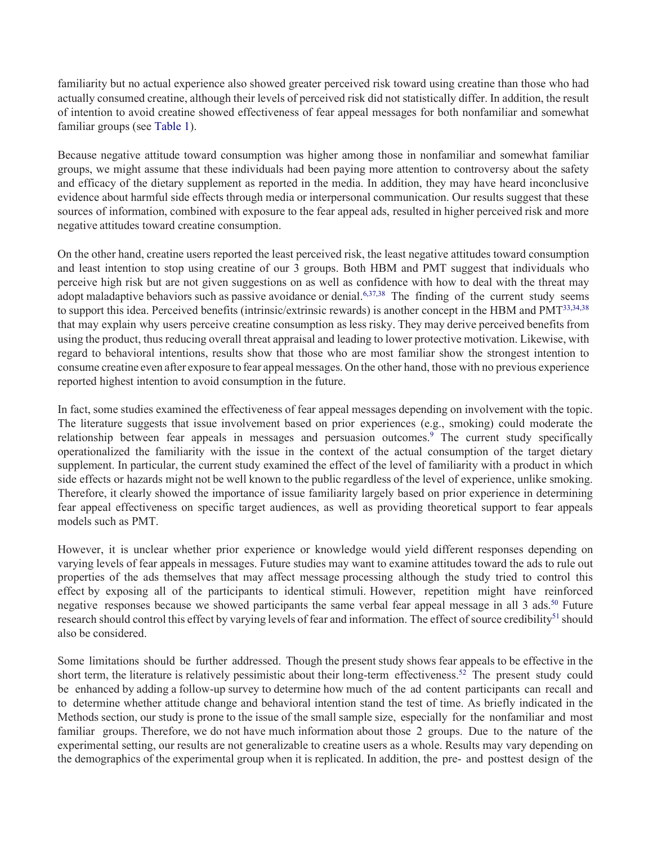of intention to avoid creatine showed effectiveness of fear appeal messages for both nonfamiliar and somewhat familiarity but no actual experience also showed greater perceived risk toward using creatine than those who had actually consumed creatine, although their levels of perceived risk did not statistically differ. In addition, the result familiar groups (se[e Table 1\)](#page-5-0).

 and efficacy of the dietary supplement as reported in the media. In addition, they may have heard inconclusive evidence about harmful side effects through media or interpersonal communication. Our results suggest that these sources of information, combined with exposure to the fear appeal ads, resulted in higher perceived risk and more Because negative attitude toward consumption was higher among those in nonfamiliar and somewhat familiar groups, we might assume that these individuals had been paying more attention to controversy about the safety negative attitudes toward creatine consumption.

 perceive high risk but are not given suggestions on as well as confidence with how to deal with the threat may adopt maladaptive behaviors such as passive avoidance or denial.<sup>6,37,38</sup> The finding of the current study seems that may explain why users perceive creatine consumption as less risky. They may derive perceived benefits from using the product, thus reducing overall threat appraisal and leading to lower protective motivation. Likewise, with regard to behavioral intentions, results show that those who are most familiar show the strongest intention to consume creatine even after exposure to fear appeal messages. On the other hand, those with no previous experience On the other hand, creatine users reported the least perceived risk, the least negative attitudes toward consumption and least intention to stop using creatine of our 3 groups. Both HBM and PMT suggest that individuals who to support this idea. Perceived benefits (intrinsic/extrinsic rewards) is another concept in the HBM and PMT<sup>33,34,38</sup> reported highest intention to avoid consumption in the future.

 The literature suggests that issue involvement based on prior experiences (e.g., smoking) could moderate the operationalized the familiarity with the issue in the context of the actual consumption of the target dietary supplement. In particular, the current study examined the effect of the level of familiarity with a product in which side effects or hazards might not be well known to the public regardless of the level of experience, unlike smoking. Therefore, it clearly showed the importance of issue familiarity largely based on prior experience in determining In fact, some studies examined the effectiveness of fear appeal messages depending on involvement with the topic. relationship between fear appeals in messages and persuasion outcomes.<sup>9</sup> The current study specifically fear appeal effectiveness on specific target audiences, as well as providing theoretical support to fear appeals models such as PMT.

 However, it is unclear whether prior experience or knowledge would yield different responses depending on varying levels of fear appeals in messages. Future studies may want to examine attitudes toward the ads to rule out properties of the ads themselves that may affect message processing although the study tried to control this effect by exposing all of the participants to identical stimuli. However, repetition might have reinforced research should control this effect by varying levels of fear and information. The effect of source credibility<sup>51</sup> should also be considered. negative responses because we showed participants the same verbal fear appeal message in all 3 ads.<sup>50</sup> Future

 Some limitations should be further addressed. Though the present study shows fear appeals to be effective in the short term, the literature is relatively pessimistic about their long-term effectiveness.<sup>52</sup> The present study could be enhanced by adding a follow-up survey to determine how much of the ad content participants can recall and to determine whether attitude change and behavioral intention stand the test of time. As briefly indicated in the Methods section, our study is prone to the issue of the small sample size, especially for the nonfamiliar and most familiar groups. Therefore, we do not have much information about those 2 groups. Due to the nature of the experimental setting, our results are not generalizable to creatine users as a whole. Results may vary depending on the demographics of the experimental group when it is replicated. In addition, the pre- and posttest design of the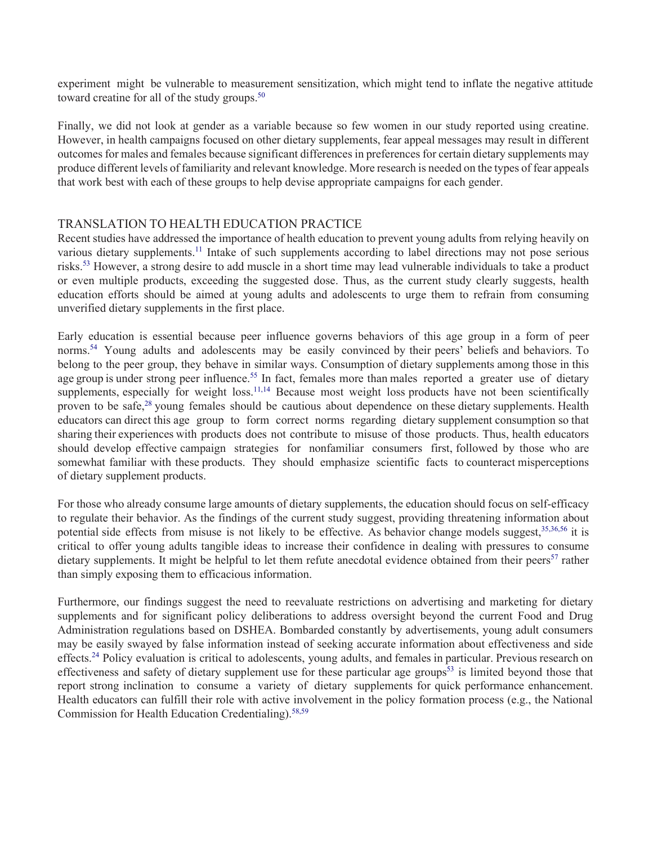experiment might be vulnerable to measurement sensitization, which might tend to inflate the negative attitude toward creatine for all of the study groups.<sup>50</sup>

 Finally, we did not look at gender as a variable because so few women in our study reported using creatine. However, in health campaigns focused on other dietary supplements, fear appeal messages may result in different outcomes for males and females because significant differences in preferences for certain dietary supplements may produce different levels of familiarity and relevant knowledge. More research is needed on the types of fear appeals that work best with each of these groups to help devise appropriate campaigns for each gender.

## TRANSLATION TO HEALTH EDUCATION PRACTICE

 Recent studies have addressed the importance of health education to prevent young adults from relying heavily on risks.<sup>53</sup> However, a strong desire to add muscle in a short time may lead vulnerable individuals to take a product various dietary supplements.<sup>11</sup> Intake of such supplements according to label directions may not pose serious or even multiple products, exceeding the suggested dose. Thus, as the current study clearly suggests, health education efforts should be aimed at young adults and adolescents to urge them to refrain from consuming unverified dietary supplements in the first place.

 Early education is essential because peer influence governs behaviors of this age group in a form of peer norms.<sup>54</sup> Young adults and adolescents may be easily convinced by their peers' beliefs and behaviors. To belong to the peer group, they behave in similar ways. Consumption of dietary supplements among those in this age group is under strong peer influence.<sup>55</sup> In fact, females more than males reported a greater use of dietary supplements, especially for weight loss.<sup>11,14</sup> Because most weight loss products have not been scientifically proven to be safe,<sup>28</sup> young females should be cautious about dependence on these dietary supplements. Health educators can direct this age group to form correct norms regarding dietary supplement consumption so that sharing their experiences with products does not contribute to misuse of those products. Thus, health educators should develop effective campaign strategies for nonfamiliar consumers first, followed by those who are somewhat familiar with these products. They should emphasize scientific facts to counteract misperceptions of dietary supplement products.

 For those who already consume large amounts of dietary supplements, the education should focus on self-efficacy to regulate their behavior. As the findings of the current study suggest, providing threatening information about potential side effects from misuse is not likely to be effective. As behavior change models suggest,<sup>35,36,56</sup> it is critical to offer young adults tangible ideas to increase their confidence in dealing with pressures to consume dietary supplements. It might be helpful to let them refute anecdotal evidence obtained from their peers<sup>57</sup> rather than simply exposing them to efficacious information.

 Furthermore, our findings suggest the need to reevaluate restrictions on advertising and marketing for dietary effects.<sup>24</sup> Policy evaluation is critical to adolescents, young adults, and females in particular. Previous research on effectiveness and safety of dietary supplement use for these particular age groups<sup>53</sup> is limited beyond those that report strong inclination to consume a variety of dietary supplements for quick performance enhancement. supplements and for significant policy deliberations to address oversight beyond the current Food and Drug Administration regulations based on DSHEA. Bombarded constantly by advertisements, young adult consumers may be easily swayed by false information instead of seeking accurate information about effectiveness and side Health educators can fulfill their role with active involvement in the policy formation process (e.g., the National Commission for Health Education Credentialing)[.58,59](#page-10-9)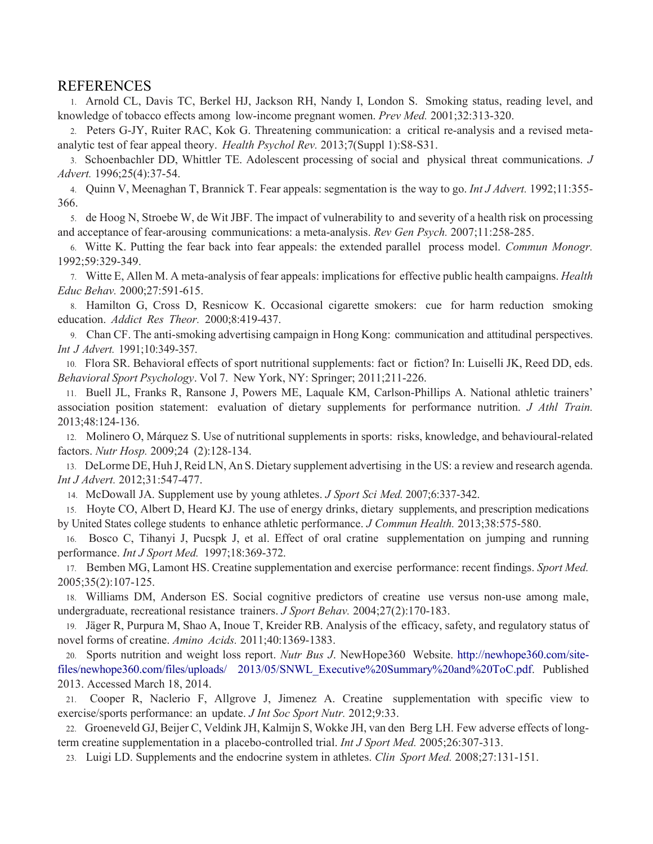#### REFERENCES

<span id="page-8-1"></span><span id="page-8-0"></span>1. Arnold CL, Davis TC, Berkel HJ, Jackson RH, Nandy I, London S. Smoking status, reading level, and knowledge of tobacco effects among low-income pregnant women. *Prev Med.* 2001;32:313-320.

2. Peters G-JY, Ruiter RAC, Kok G. Threatening communication: a critical re-analysis and a revised metaanalytic test of fear appeal theory. *Health Psychol Rev.* 2013;7(Suppl 1):S8-S31.

 3. Schoenbachler DD, Whittler TE. Adolescent processing of social and physical threat communications. *J Advert.* 1996;25(4):37-54.

4. Quinn V, Meenaghan T, Brannick T. Fear appeals: segmentation is the way to go. *Int J Advert.* 1992;11:355- 366.

<span id="page-8-2"></span> 5. de Hoog N, Stroebe W, de Wit JBF. The impact of vulnerability to and severity of a health risk on processing and acceptance of fear-arousing communications: a meta-analysis. *Rev Gen Psych.* 2007;11:258-285.

 6. Witte K. Putting the fear back into fear appeals: the extended parallel process model. *Commun Monogr.*  1992;59:329-349.

7. Witte E, Allen M. A meta-analysis of fear appeals: implications for effective public health campaigns. *Health Educ Behav.* 2000;27:591-615.

<span id="page-8-13"></span> 8. Hamilton G, Cross D, Resnicow K. Occasional cigarette smokers: cue for harm reduction smoking  education. *Addict Res Theor.* 2000;8:419-437.

<span id="page-8-3"></span> 9. Chan CF. The anti-smoking advertising campaign in Hong Kong: communication and attitudinal perspectives.  *Int J Advert.* 1991;10:349-357.

<span id="page-8-4"></span> 10. Flora SR. Behavioral effects of sport nutritional supplements: fact or fiction? In: Luiselli JK, Reed DD, eds.  *Behavioral Sport Psychology*. Vol 7. New York, NY: Springer; 2011;211-226.

 11. Buell JL, Franks R, Ransone J, Powers ME, Laquale KM, Carlson-Phillips A. National athletic trainers'  association position statement: evaluation of dietary supplements for performance nutrition. *J Athl Train.*  2013;48:124-136.

<span id="page-8-5"></span>12. Molinero O, Márquez S. Use of nutritional supplements in sports: risks, knowledge, and behavioural-related factors. *Nutr Hosp.* 2009;24 (2):128-134.

 13. DeLorme DE, Huh J, Reid LN, An S. Dietary supplement advertising in the US: a review and research agenda. *Int J Advert.* 2012;31:547-477.

<span id="page-8-12"></span><span id="page-8-10"></span><span id="page-8-7"></span>14. McDowall JA. Supplement use by young athletes. *J Sport Sci Med.* 2007;6:337-342.

15. Hoyte CO, Albert D, Heard KJ. The use of energy drinks, dietary supplements, and prescription medications by United States college students to enhance athletic performance. *J Commun Health.* 2013;38:575-580.

<span id="page-8-6"></span>16. Bosco C, Tihanyi J, Pucspk J, et al. Effect of oral cratine supplementation on jumping and running performance. *Int J Sport Med.* 1997;18:369-372.

 17. Bemben MG, Lamont HS. Creatine supplementation and exercise performance: recent findings. *Sport Med.*  2005;35(2):107-125.

<span id="page-8-8"></span>18. Williams DM, Anderson ES. Social cognitive predictors of creatine use versus non-use among male, undergraduate, recreational resistance trainers. *J Sport Behav.* 2004;27(2):170-183.

 19. Jäger R, Purpura M, Shao A, Inoue T, Kreider RB. Analysis of the efficacy, safety, and regulatory status of novel forms of creatine. *Amino Acids.* 2011;40:1369-1383.

<span id="page-8-9"></span>20. Sports nutrition and weight loss report. *Nutr Bus J*. NewHope360 Website. [http://newhope360.com/site](http://newhope360.com/site-files/newhope360.com/files/uploads/2013/05/SNWL_Executive%20Summary%20and%20ToC.pdf)[files/newhope360.com/files/uploads/ 2013/05/SNWL\\_Executive%20Summary%20and%20ToC.pdf.](http://newhope360.com/site-files/newhope360.com/files/uploads/2013/05/SNWL_Executive%20Summary%20and%20ToC.pdf) Published 2013. Accessed March 18, 2014.

 21. Cooper R, Naclerio F, Allgrove J, Jimenez A. Creatine supplementation with specific view to exercise/sports performance: an update. *J Int Soc Sport Nutr.* 2012;9:33.

<span id="page-8-11"></span> 22. Groeneveld GJ, Beijer C, Veldink JH, Kalmijn S, Wokke JH, van den Berg LH. Few adverse effects of longterm creatine supplementation in a placebo-controlled trial. *Int J Sport Med.* 2005;26:307-313.

23. Luigi LD. Supplements and the endocrine system in athletes. *Clin Sport Med.* 2008;27:131-151.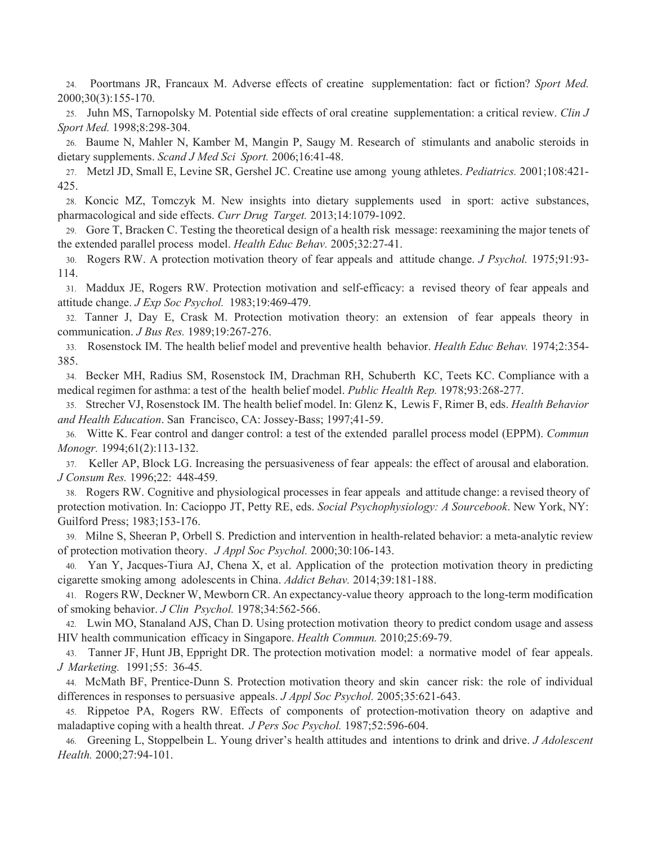<span id="page-9-14"></span>24. Poortmans JR, Francaux M. Adverse effects of creatine supplementation: fact or fiction? *Sport Med.*  2000;30(3):155-170.

25. Juhn MS, Tarnopolsky M. Potential side effects of oral creatine supplementation: a critical review. *Clin J Sport Med.* 1998;8:298-304.

26. Baume N, Mahler N, Kamber M, Mangin P, Saugy M. Research of stimulants and anabolic steroids in dietary supplements. *Scand J Med Sci Sport.* 2006;16:41-48.

<span id="page-9-12"></span>27. Metzl JD, Small E, Levine SR, Gershel JC. Creatine use among young athletes. *Pediatrics.* 2001;108:421- 425.

<span id="page-9-0"></span> 28. Koncic MZ, Tomczyk M. New insights into dietary supplements used in sport: active substances, pharmacological and side effects. *Curr Drug Target.* 2013;14:1079-1092.

29. Gore T, Bracken C. Testing the theoretical design of a health risk message: reexamining the major tenets of the extended parallel process model. *Health Educ Behav.* 2005;32:27-41.

<span id="page-9-1"></span>30. Rogers RW. A protection motivation theory of fear appeals and attitude change. *J Psychol.* 1975;91:93- 114.

<span id="page-9-7"></span>31. Maddux JE, Rogers RW. Protection motivation and self-efficacy: a revised theory of fear appeals and attitude change. *J Exp Soc Psychol.* 1983;19:469-479.

<span id="page-9-8"></span> 32. Tanner J, Day E, Crask M. Protection motivation theory: an extension of fear appeals theory in communication. *J Bus Res.* 1989;19:267-276.

<span id="page-9-2"></span>33. Rosenstock IM. The health belief model and preventive health behavior. *Health Educ Behav.* 1974;2:354- 385.

 34. Becker MH, Radius SM, Rosenstock IM, Drachman RH, Schuberth KC, Teets KC. Compliance with a medical regimen for asthma: a test of the health belief model. *Public Health Rep.* 1978;93:268-277.

<span id="page-9-13"></span>35. Strecher VJ, Rosenstock IM. The health belief model. In: Glenz K, Lewis F, Rimer B, eds. *Health Behavior and Health Education*. San Francisco, CA: Jossey-Bass; 1997;41-59.

<span id="page-9-4"></span><span id="page-9-3"></span>36. Witte K. Fear control and danger control: a test of the extended parallel process model (EPPM). *Commun Monogr.* 1994;61(2):113-132.

<span id="page-9-5"></span>37. Keller AP, Block LG. Increasing the persuasiveness of fear appeals: the effect of arousal and elaboration. *J Consum Res.* 1996;22: 448-459.

 38. Rogers RW. Cognitive and physiological processes in fear appeals and attitude change: a revised theory of protection motivation. In: Cacioppo JT, Petty RE, eds. *Social Psychophysiology: A Sourcebook*. New York, NY: Guilford Press; 1983;153-176.

<span id="page-9-6"></span>39. Milne S, Sheeran P, Orbell S. Prediction and intervention in health-related behavior: a meta-analytic review of protection motivation theory. *J Appl Soc Psychol.* 2000;30:106-143.

40. Yan Y, Jacques-Tiura AJ, Chena X, et al. Application of the protection motivation theory in predicting cigarette smoking among adolescents in China. *Addict Behav.* 2014;39:181-188.

 41. Rogers RW, Deckner W, Mewborn CR. An expectancy-value theory approach to the long-term modification  of smoking behavior. *J Clin Psychol.* 1978;34:562-566.

42. Lwin MO, Stanaland AJS, Chan D. Using protection motivation theory to predict condom usage and assess HIV health communication efficacy in Singapore. *Health Commun.* 2010;25:69-79.

<span id="page-9-11"></span> 43. Tanner JF, Hunt JB, Eppright DR. The protection motivation model: a normative model of fear appeals.  *J Marketing.* 1991;55: 36-45.

<span id="page-9-9"></span> 44. McMath BF, Prentice-Dunn S. Protection motivation theory and skin cancer risk: the role of individual differences in responses to persuasive appeals. *J Appl Soc Psychol.* 2005;35:621-643.

 45. Rippetoe PA, Rogers RW. Effects of components of protection-motivation theory on adaptive and maladaptive coping with a health threat. *J Pers Soc Psychol.* 1987;52:596-604.

<span id="page-9-10"></span>46. Greening L, Stoppelbein L. Young driver's health attitudes and intentions to drink and drive. *J Adolescent Health.* 2000;27:94-101.